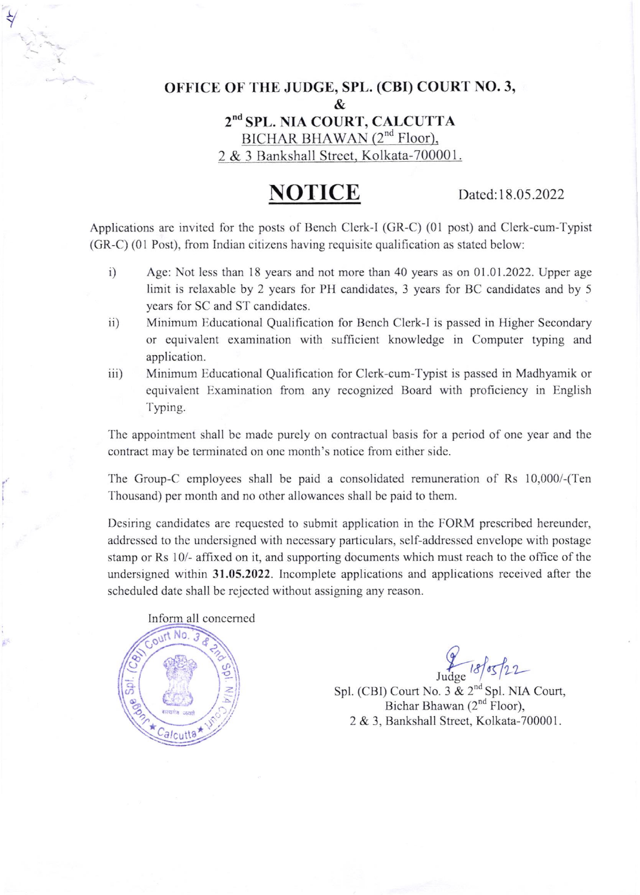## OFFICE OF THE JUDGE, SPL. (CBI) COURT NO. 3, & 2<sup>nd</sup> SPL. NIA COURT, CALCUTTA  $BICHAR BHAWAN (2<sup>nd</sup> Floor),$ 2 & 3 Bankshall Street, Kolkata-700001.

## NOTICE Dated:18.05.2022

Applications are invited for the posts of Bench Clerk-l (GR-C) (01 post) and Clerk-cum-Typist (GR-C) (01 Post), from Indian citizens having requisite qualification as stated below:

- i) Age: Not less than 18 years and not more than 40 years as on  $01.01.2022$ . Upper age limit is relaxable by 2 years for PH candidates, 3 years for BC candidates and by 5 years for SC and ST candidates.
- ii) Minimum Educational Qualification for Bench Clerk-I is passed in Higher Secondary or cquivalcnt examination with sufficient knowledge in Computer typing and application.
- iii) Minimum Educational Qualification for Clerk-cum-Typist is passed in Madhyamik or equivalent Examination from any recognized Board with proficiency in English Typing.

The appointment shall be made purely on contractual basis for a period of one year and the contract may be terminated on one month's notice from either side.

The Group-C employees shall be paid a consolidated remuneration of Rs 10,000/-(Ten Thousand) per month and no other allowances shall be paid to them.

Dcsiring candidates are requcsted to submit application in the FORM prescribed hereunder, addressed to the undersigned with necessary particulars, self-addressed envelope with postage stamp or Rs 10/- affixed on it, and supporting documents which must reach to the office of the undersigned within 31.05.2022. lncomplete applications and applications received after the scheduled date shall be rejected without assigning any reason.



 $\frac{2}{3}$ 

I

Judge 18/05/22

Spl. (CBI) Court No. 3 & 2<sup>nd</sup> Spl. NIA Court, Bichar Bhawan  $(2<sup>nd</sup>$  Floor), 2 & 3, Bankshall Street, Kolkata-700001.